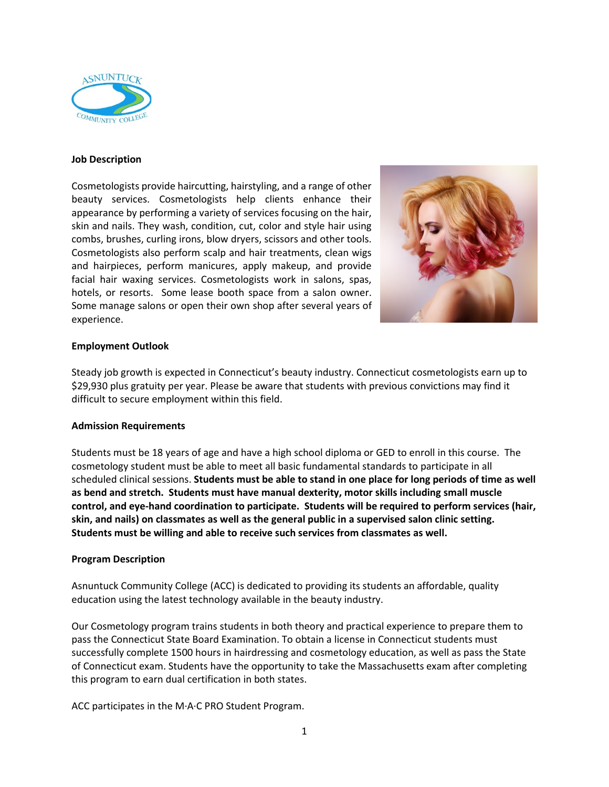

### **Job Description**

Cosmetologists provide haircutting, hairstyling, and a range of other beauty services. Cosmetologists help clients enhance their appearance by performing a variety of services focusing on the hair, skin and nails. They wash, condition, cut, color and style hair using combs, brushes, curling irons, blow dryers, scissors and other tools. Cosmetologists also perform scalp and hair treatments, clean wigs and hairpieces, perform manicures, apply makeup, and provide facial hair waxing services. Cosmetologists work in salons, spas, hotels, or resorts. Some lease booth space from a salon owner. Some manage salons or open their own shop after several years of experience.



## **Employment Outlook**

Steady job growth is expected in Connecticut's beauty industry. Connecticut cosmetologists earn up to \$29,930 plus gratuity per year. Please be aware that students with previous convictions may find it difficult to secure employment within this field.

#### **Admission Requirements**

Students must be 18 years of age and have a high school diploma or GED to enroll in this course. The cosmetology student must be able to meet all basic fundamental standards to participate in all scheduled clinical sessions. **Students must be able to stand in one place for long periods of time as well as bend and stretch. Students must have manual dexterity, motor skills including small muscle control, and eye-hand coordination to participate. Students will be required to perform services (hair, skin, and nails) on classmates as well as the general public in a supervised salon clinic setting. Students must be willing and able to receive such services from classmates as well.** 

## **Program Description**

Asnuntuck Community College (ACC) is dedicated to providing its students an affordable, quality education using the latest technology available in the beauty industry.

Our Cosmetology program trains students in both theory and practical experience to prepare them to pass the Connecticut State Board Examination. To obtain a license in Connecticut students must successfully complete 1500 hours in hairdressing and cosmetology education, as well as pass the State of Connecticut exam. Students have the opportunity to take the Massachusetts exam after completing this program to earn dual certification in both states.

ACC participates in the M·A·C PRO Student Program.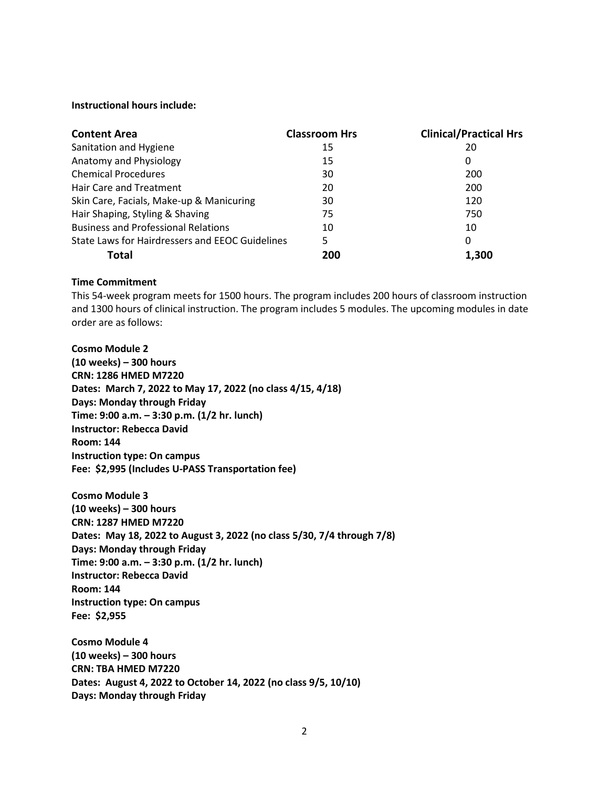#### **Instructional hours include:**

| <b>Content Area</b>                             | <b>Classroom Hrs</b> | <b>Clinical/Practical Hrs</b> |
|-------------------------------------------------|----------------------|-------------------------------|
| Sanitation and Hygiene                          | 15                   | 20                            |
| Anatomy and Physiology                          | 15                   | 0                             |
| <b>Chemical Procedures</b>                      | 30                   | 200                           |
| Hair Care and Treatment                         | 20                   | 200                           |
| Skin Care, Facials, Make-up & Manicuring        | 30                   | 120                           |
| Hair Shaping, Styling & Shaving                 | 75                   | 750                           |
| <b>Business and Professional Relations</b>      | 10                   | 10                            |
| State Laws for Hairdressers and EEOC Guidelines | 5                    | 0                             |
| Total                                           | 200                  | 1.300                         |

### **Time Commitment**

This 54-week program meets for 1500 hours. The program includes 200 hours of classroom instruction and 1300 hours of clinical instruction. The program includes 5 modules. The upcoming modules in date order are as follows:

**Cosmo Module 2 (10 weeks) – 300 hours CRN: 1286 HMED M7220 Dates: March 7, 2022 to May 17, 2022 (no class 4/15, 4/18) Days: Monday through Friday Time: 9:00 a.m. – 3:30 p.m. (1/2 hr. lunch) Instructor: Rebecca David Room: 144 Instruction type: On campus Fee: \$2,995 (Includes U-PASS Transportation fee)**

**Cosmo Module 3 (10 weeks) – 300 hours CRN: 1287 HMED M7220 Dates: May 18, 2022 to August 3, 2022 (no class 5/30, 7/4 through 7/8) Days: Monday through Friday Time: 9:00 a.m. – 3:30 p.m. (1/2 hr. lunch) Instructor: Rebecca David Room: 144 Instruction type: On campus Fee: \$2,955** 

**Cosmo Module 4 (10 weeks) – 300 hours CRN: TBA HMED M7220 Dates: August 4, 2022 to October 14, 2022 (no class 9/5, 10/10) Days: Monday through Friday**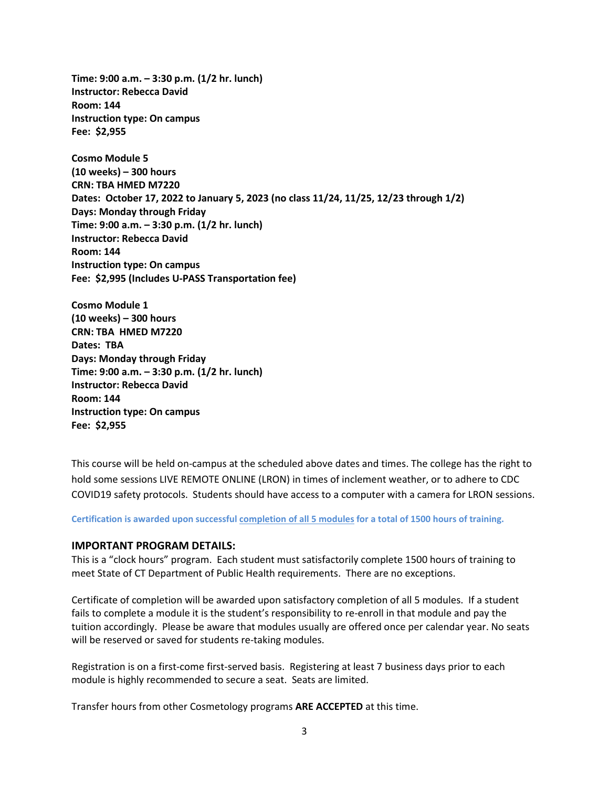**Time: 9:00 a.m. – 3:30 p.m. (1/2 hr. lunch) Instructor: Rebecca David Room: 144 Instruction type: On campus Fee: \$2,955** 

**Cosmo Module 5 (10 weeks) – 300 hours CRN: TBA HMED M7220 Dates: October 17, 2022 to January 5, 2023 (no class 11/24, 11/25, 12/23 through 1/2) Days: Monday through Friday Time: 9:00 a.m. – 3:30 p.m. (1/2 hr. lunch) Instructor: Rebecca David Room: 144 Instruction type: On campus Fee: \$2,995 (Includes U-PASS Transportation fee)**

**Cosmo Module 1 (10 weeks) – 300 hours CRN: TBA HMED M7220 Dates: TBA Days: Monday through Friday Time: 9:00 a.m. – 3:30 p.m. (1/2 hr. lunch) Instructor: Rebecca David Room: 144 Instruction type: On campus Fee: \$2,955**

This course will be held on-campus at the scheduled above dates and times. The college has the right to hold some sessions LIVE REMOTE ONLINE (LRON) in times of inclement weather, or to adhere to CDC COVID19 safety protocols. Students should have access to a computer with a camera for LRON sessions.

**Certification is awarded upon successful completion of all 5 modules for a total of 1500 hours of training.**

### **IMPORTANT PROGRAM DETAILS:**

This is a "clock hours" program. Each student must satisfactorily complete 1500 hours of training to meet State of CT Department of Public Health requirements. There are no exceptions.

Certificate of completion will be awarded upon satisfactory completion of all 5 modules. If a student fails to complete a module it is the student's responsibility to re-enroll in that module and pay the tuition accordingly. Please be aware that modules usually are offered once per calendar year. No seats will be reserved or saved for students re-taking modules.

Registration is on a first-come first-served basis. Registering at least 7 business days prior to each module is highly recommended to secure a seat. Seats are limited.

Transfer hours from other Cosmetology programs **ARE ACCEPTED** at this time.